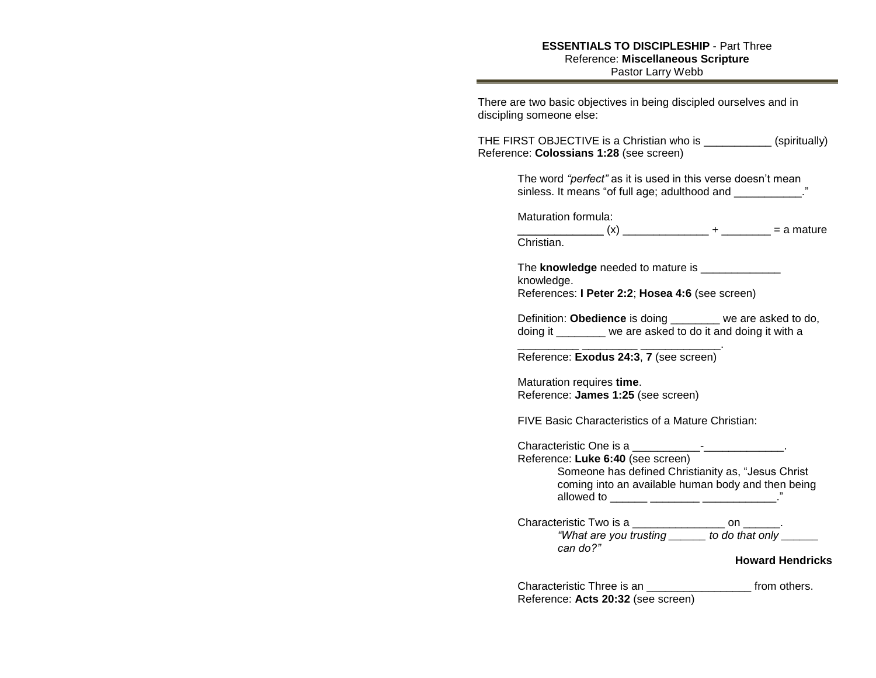## **ESSENTIALS TO DISCIPLESHIP** - Part Three Reference: **Miscellaneous Scripture** Pastor Larry Webb

| There are two basic objectives in being discipled ourselves and in<br>discipling someone else:                                                  |  |  |  |
|-------------------------------------------------------------------------------------------------------------------------------------------------|--|--|--|
| THE FIRST OBJECTIVE is a Christian who is ___________ (spiritually)<br>Reference: Colossians 1:28 (see screen)                                  |  |  |  |
| The word "perfect" as it is used in this verse doesn't mean<br>sinless. It means "of full age; adulthood and ___________                        |  |  |  |
| Maturation formula:<br>Christian.                                                                                                               |  |  |  |
| The knowledge needed to mature is _______________<br>knowledge.<br>References: I Peter 2:2; Hosea 4:6 (see screen)                              |  |  |  |
| Definition: Obedience is doing _______ we are asked to do,<br>doing it ________ we are asked to do it and doing it with a                       |  |  |  |
| Reference: Exodus 24:3, 7 (see screen)                                                                                                          |  |  |  |
| Maturation requires time.<br>Reference: James 1:25 (see screen)                                                                                 |  |  |  |
| FIVE Basic Characteristics of a Mature Christian:                                                                                               |  |  |  |
| Reference: Luke 6:40 (see screen)<br>Someone has defined Christianity as, "Jesus Christ<br>coming into an available human body and then being   |  |  |  |
| Characteristic Two is a ___________________ on _______.<br>"What are you trusting ______ to do that only<br>can do?"<br><b>Howard Hendricks</b> |  |  |  |
|                                                                                                                                                 |  |  |  |
| Characteristic Three is an<br>from others.                                                                                                      |  |  |  |

Reference: **Acts 20:32** (see screen)